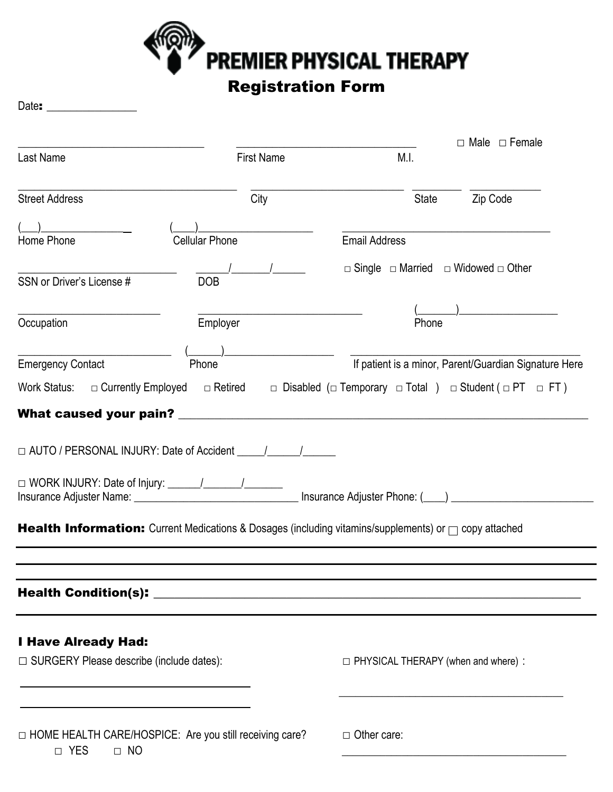

## Registration Form

Date: \_\_\_\_\_\_\_\_\_\_\_\_\_\_\_

|                                                                                                                                                                                                                                                                                                                                                                                                                 |                       |                                                                                                        | $\Box$ Male $\Box$ Female                             |
|-----------------------------------------------------------------------------------------------------------------------------------------------------------------------------------------------------------------------------------------------------------------------------------------------------------------------------------------------------------------------------------------------------------------|-----------------------|--------------------------------------------------------------------------------------------------------|-------------------------------------------------------|
| Last Name                                                                                                                                                                                                                                                                                                                                                                                                       | <b>First Name</b>     | M.I.                                                                                                   |                                                       |
| <b>Street Address</b>                                                                                                                                                                                                                                                                                                                                                                                           | City                  | <b>State</b>                                                                                           | Zip Code                                              |
|                                                                                                                                                                                                                                                                                                                                                                                                                 |                       |                                                                                                        |                                                       |
| Home Phone                                                                                                                                                                                                                                                                                                                                                                                                      | <b>Cellular Phone</b> | <b>Email Address</b>                                                                                   |                                                       |
| SSN or Driver's License #                                                                                                                                                                                                                                                                                                                                                                                       | <b>DOB</b>            | $\Box$ Single $\Box$ Married $\Box$ Widowed $\Box$ Other                                               |                                                       |
| Occupation                                                                                                                                                                                                                                                                                                                                                                                                      | Employer              | Phone                                                                                                  |                                                       |
| <b>Emergency Contact</b>                                                                                                                                                                                                                                                                                                                                                                                        | Phone                 |                                                                                                        | If patient is a minor, Parent/Guardian Signature Here |
| Work Status: $\Box$ Currently Employed                                                                                                                                                                                                                                                                                                                                                                          |                       | $\Box$ Retired $\Box$ Disabled ( $\Box$ Temporary $\Box$ Total ) $\Box$ Student ( $\Box$ PT $\Box$ FT) |                                                       |
| $\Box$ AUTO / PERSONAL INJURY: Date of Accident $\Box$ /<br>Insurance Adjuster Name: 1990 Contract Contract Contract Contract Contract Contract Contract Contract Contract Contract Contract Contract Contract Contract Contract Contract Contract Contract Contract Contract Contract Con<br><b>Health Information:</b> Current Medications & Dosages (including vitamins/supplements) or $\Box$ copy attached |                       |                                                                                                        |                                                       |
|                                                                                                                                                                                                                                                                                                                                                                                                                 |                       |                                                                                                        |                                                       |
| <b>I Have Already Had:</b><br>$\Box$ SURGERY Please describe (include dates):                                                                                                                                                                                                                                                                                                                                   |                       | $\Box$ PHYSICAL THERAPY (when and where) :                                                             |                                                       |
| □ HOME HEALTH CARE/HOSPICE: Are you still receiving care?<br>□ YES<br>$\Box$ NO                                                                                                                                                                                                                                                                                                                                 |                       | $\Box$ Other care:                                                                                     |                                                       |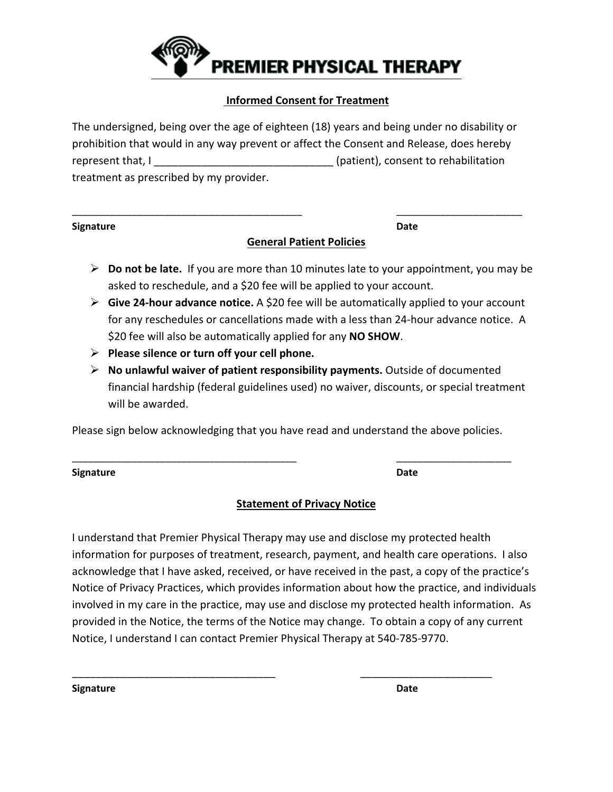

#### **Informed Consent for Treatment**

The undersigned, being over the age of eighteen (18) years and being under no disability or prohibition that would in any way prevent or affect the Consent and Release, does hereby represent that, I consent that, I consent to rehabilitation treatment as prescribed by my provider.

\_\_\_\_\_\_\_\_\_\_\_\_\_\_\_\_\_\_\_\_\_\_\_\_\_\_\_\_\_\_\_\_\_\_\_\_\_\_\_\_\_\_ \_\_\_\_\_\_\_\_\_\_\_\_\_\_\_\_\_\_\_\_\_\_\_

| <b>Signature</b> | Date |
|------------------|------|
|                  |      |

### **General Patient Policies**

- **Do not be late.** If you are more than 10 minutes late to your appointment, you may be asked to reschedule, and a \$20 fee will be applied to your account.
- **Give 24-hour advance notice.** A \$20 fee will be automatically applied to your account for any reschedules or cancellations made with a less than 24-hour advance notice. A \$20 fee will also be automatically applied for any **NO SHOW**.
- **Please silence or turn off your cell phone.**
- **No unlawful waiver of patient responsibility payments.** Outside of documented financial hardship (federal guidelines used) no waiver, discounts, or special treatment will be awarded.

Please sign below acknowledging that you have read and understand the above policies.

\_\_\_\_\_\_\_\_\_\_\_\_\_\_\_\_\_\_\_\_\_\_\_\_\_\_\_\_\_\_\_\_\_\_\_\_\_\_\_\_\_ \_\_\_\_\_\_\_\_\_\_\_\_\_\_\_\_\_\_\_\_\_

| <b>Signature</b> | Date |
|------------------|------|
|                  |      |

### **Statement of Privacy Notice**

I understand that Premier Physical Therapy may use and disclose my protected health information for purposes of treatment, research, payment, and health care operations. I also acknowledge that I have asked, received, or have received in the past, a copy of the practice's Notice of Privacy Practices, which provides information about how the practice, and individuals involved in my care in the practice, may use and disclose my protected health information. As provided in the Notice, the terms of the Notice may change. To obtain a copy of any current Notice, I understand I can contact Premier Physical Therapy at 540-785-9770.

\_\_\_\_\_\_\_\_\_\_\_\_\_\_\_\_\_\_\_\_\_\_\_\_\_\_\_\_\_\_\_\_\_\_ \_\_\_\_\_\_\_\_\_\_\_\_\_\_\_\_\_\_\_\_\_\_

**Signature Date**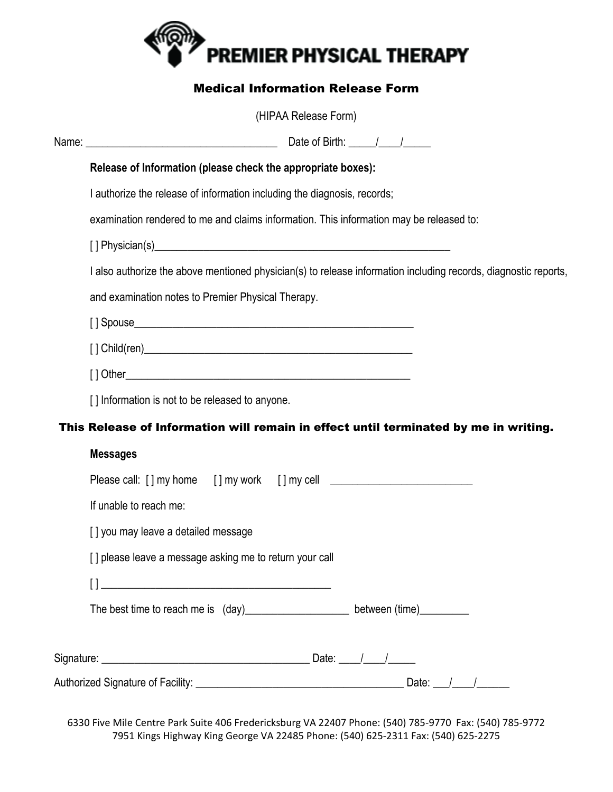

## Medical Information Release Form

|  | (HIPAA Release Form)                                                                                            |  |  |  |  |  |
|--|-----------------------------------------------------------------------------------------------------------------|--|--|--|--|--|
|  |                                                                                                                 |  |  |  |  |  |
|  | Release of Information (please check the appropriate boxes):                                                    |  |  |  |  |  |
|  | I authorize the release of information including the diagnosis, records;                                        |  |  |  |  |  |
|  | examination rendered to me and claims information. This information may be released to:                         |  |  |  |  |  |
|  |                                                                                                                 |  |  |  |  |  |
|  | I also authorize the above mentioned physician(s) to release information including records, diagnostic reports, |  |  |  |  |  |
|  | and examination notes to Premier Physical Therapy.                                                              |  |  |  |  |  |
|  |                                                                                                                 |  |  |  |  |  |
|  |                                                                                                                 |  |  |  |  |  |
|  | [] Information is not to be released to anyone.                                                                 |  |  |  |  |  |
|  |                                                                                                                 |  |  |  |  |  |
|  | This Release of Information will remain in effect until terminated by me in writing.                            |  |  |  |  |  |
|  | <b>Messages</b>                                                                                                 |  |  |  |  |  |
|  |                                                                                                                 |  |  |  |  |  |
|  | If unable to reach me:                                                                                          |  |  |  |  |  |
|  | [] you may leave a detailed message                                                                             |  |  |  |  |  |
|  | [] please leave a message asking me to return your call                                                         |  |  |  |  |  |
|  | $\Box$<br><u> 1989 - Johann John Stein, mars an deus Amerikaansk kommunister (</u>                              |  |  |  |  |  |
|  | The best time to reach me is (day)_________________________ between (time)__________                            |  |  |  |  |  |
|  |                                                                                                                 |  |  |  |  |  |
|  |                                                                                                                 |  |  |  |  |  |

6330 Five Mile Centre Park Suite 406 Fredericksburg VA 22407 Phone: (540) 785-9770 Fax: (540) 785-9772 7951 Kings Highway King George VA 22485 Phone: (540) 625-2311 Fax: (540) 625-2275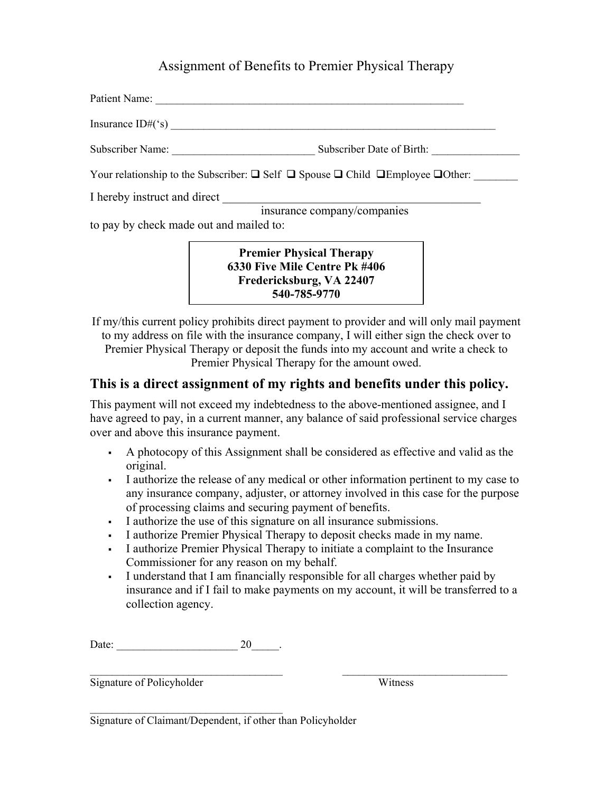## Assignment of Benefits to Premier Physical Therapy

| Patient Name:                                                                                             |                             |  |
|-----------------------------------------------------------------------------------------------------------|-----------------------------|--|
| Insurance $ID#('s)$                                                                                       |                             |  |
| Subscriber Name:                                                                                          | Subscriber Date of Birth:   |  |
| Your relationship to the Subscriber: $\Box$ Self $\Box$ Spouse $\Box$ Child $\Box$ Employee $\Box$ Other: |                             |  |
| I hereby instruct and direct                                                                              |                             |  |
|                                                                                                           | insurance company/companies |  |
| to pay by check made out and mailed to:                                                                   |                             |  |

**Premier Physical Therapy 6330 Five Mile Centre Pk #406 Fredericksburg, VA 22407 540-785-9770**

If my/this current policy prohibits direct payment to provider and will only mail payment to my address on file with the insurance company, I will either sign the check over to Premier Physical Therapy or deposit the funds into my account and write a check to Premier Physical Therapy for the amount owed.

## **This is a direct assignment of my rights and benefits under this policy.**

This payment will not exceed my indebtedness to the above-mentioned assignee, and I have agreed to pay, in a current manner, any balance of said professional service charges over and above this insurance payment.

- A photocopy of this Assignment shall be considered as effective and valid as the original.
- I authorize the release of any medical or other information pertinent to my case to any insurance company, adjuster, or attorney involved in this case for the purpose of processing claims and securing payment of benefits.
- I authorize the use of this signature on all insurance submissions.
- I authorize Premier Physical Therapy to deposit checks made in my name.
- I authorize Premier Physical Therapy to initiate a complaint to the Insurance Commissioner for any reason on my behalf.

 $\mathcal{L}_\text{max}$  , and the contract of the contract of the contract of the contract of the contract of the contract of

 I understand that I am financially responsible for all charges whether paid by insurance and if I fail to make payments on my account, it will be transferred to a collection agency.

Date: \_\_\_\_\_\_\_\_\_\_\_\_\_\_\_\_\_\_\_\_\_\_ 20\_\_\_\_\_.

Signature of Policyholder Witness

 $\mathcal{L}_\text{max}$  , where  $\mathcal{L}_\text{max}$  is the set of the set of the set of the set of the set of the set of the set of the set of the set of the set of the set of the set of the set of the set of the set of the set of the se Signature of Claimant/Dependent, if other than Policyholder